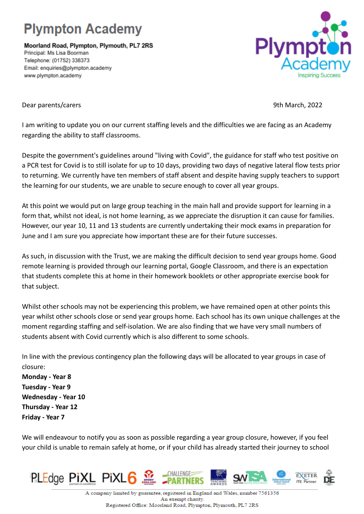## **Plympton Academy**

Moorland Road, Plympton, Plymouth, PL7 2RS Principal: Ms Lisa Boorman Telephone: (01752) 338373 Email: enquiries@plympton.academy www.plympton.academy



Dear parents/carers 9th March, 2022

I am writing to update you on our current staffing levels and the difficulties we are facing as an Academy regarding the ability to staff classrooms.

Despite the government's guidelines around "living with Covid", the guidance for staff who test positive on a PCR test for Covid is to still isolate for up to 10 days, providing two days of negative lateral flow tests prior to returning. We currently have ten members of staff absent and despite having supply teachers to support the learning for our students, we are unable to secure enough to cover all year groups.

At this point we would put on large group teaching in the main hall and provide support for learning in a form that, whilst not ideal, is not home learning, as we appreciate the disruption it can cause for families. However, our year 10, 11 and 13 students are currently undertaking their mock exams in preparation for June and I am sure you appreciate how important these are for their future successes.

As such, in discussion with the Trust, we are making the difficult decision to send year groups home. Good remote learning is provided through our learning portal, Google Classroom, and there is an expectation that students complete this at home in their homework booklets or other appropriate exercise book for that subject.

Whilst other schools may not be experiencing this problem, we have remained open at other points this year whilst other schools close or send year groups home. Each school has its own unique challenges at the moment regarding staffing and self-isolation. We are also finding that we have very small numbers of students absent with Covid currently which is also different to some schools.

In line with the previous contingency plan the following days will be allocated to year groups in case of closure:

**Monday - Year 8 Tuesday - Year 9 Wednesday - Year 10 Thursday - Year 12 Friday - Year 7**

We will endeavour to notify you as soon as possible regarding a year group closure, however, if you feel your child is unable to remain safely at home, or if your child has already started their journey to school